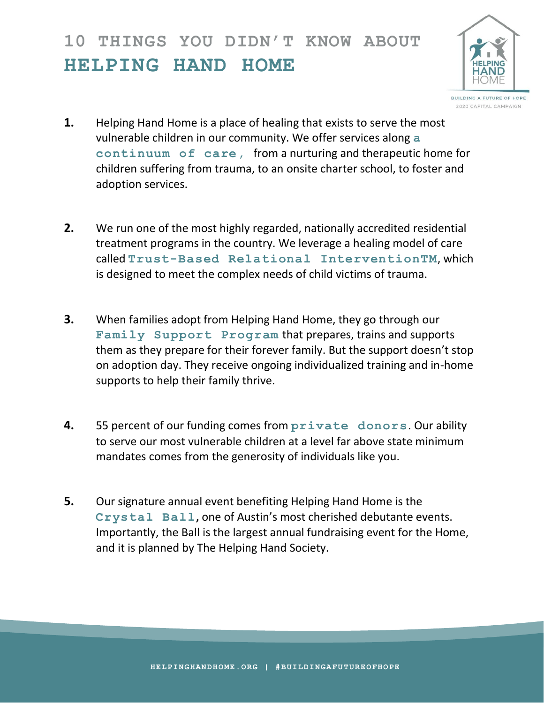## **10 THINGS YOU DIDN'T KNOW ABOUT HELPING HAND HOME**



- 2020 CAPITAL CAMPAIGN
- **1.** Helping Hand Home is a place of healing that exists to serve the most vulnerable children in our community. We offer services along **a continuum of care,** from a nurturing and therapeutic home for children suffering from trauma, to an onsite charter school, to foster and adoption services.
- **2.** We run one of the most highly regarded, nationally accredited residential treatment programs in the country. We leverage a healing model of care called **Trust-Based Relational InterventionTM**, which is designed to meet the complex needs of child victims of trauma.
- **3.** When families adopt from Helping Hand Home, they go through our **Family Support Program** that prepares, trains and supports them as they prepare for their forever family. But the support doesn't stop on adoption day. They receive ongoing individualized training and in-home supports to help their family thrive.
- **4.** 55 percent of our funding comes from **private donors**. Our ability to serve our most vulnerable children at a level far above state minimum mandates comes from the generosity of individuals like you.
- **5.** Our signature annual event benefiting Helping Hand Home is the **Crystal Ball,** one of Austin's most cherished debutante events. Importantly, the Ball is the largest annual fundraising event for the Home, and it is planned by The Helping Hand Society.